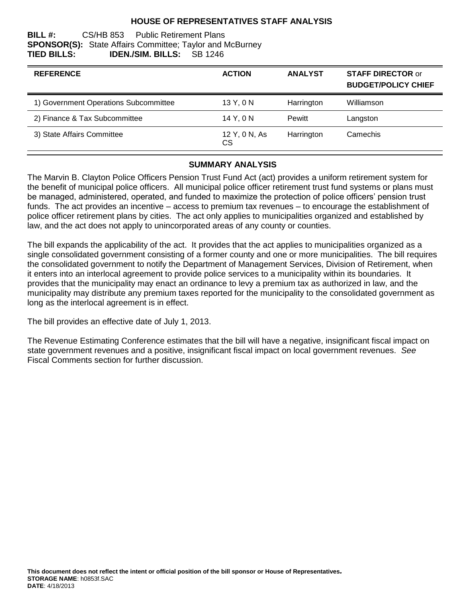## **HOUSE OF REPRESENTATIVES STAFF ANALYSIS**

#### **BILL #:** CS/HB 853 Public Retirement Plans **SPONSOR(S):** State Affairs Committee; Taylor and McBurney **TIED BILLS: IDEN./SIM. BILLS:** SB 1246

| <b>REFERENCE</b>                      | <b>ACTION</b>       | <b>ANALYST</b> | <b>STAFF DIRECTOR or</b><br><b>BUDGET/POLICY CHIEF</b> |
|---------------------------------------|---------------------|----------------|--------------------------------------------------------|
| 1) Government Operations Subcommittee | 13 Y, 0 N           | Harrington     | Williamson                                             |
| 2) Finance & Tax Subcommittee         | 14 Y, 0 N           | <b>Pewitt</b>  | Langston                                               |
| 3) State Affairs Committee            | 12 Y, 0 N, As<br>CS | Harrington     | Camechis                                               |

#### **SUMMARY ANALYSIS**

The Marvin B. Clayton Police Officers Pension Trust Fund Act (act) provides a uniform retirement system for the benefit of municipal police officers. All municipal police officer retirement trust fund systems or plans must be managed, administered, operated, and funded to maximize the protection of police officers' pension trust funds. The act provides an incentive – access to premium tax revenues – to encourage the establishment of police officer retirement plans by cities. The act only applies to municipalities organized and established by law, and the act does not apply to unincorporated areas of any county or counties.

The bill expands the applicability of the act. It provides that the act applies to municipalities organized as a single consolidated government consisting of a former county and one or more municipalities. The bill requires the consolidated government to notify the Department of Management Services, Division of Retirement, when it enters into an interlocal agreement to provide police services to a municipality within its boundaries. It provides that the municipality may enact an ordinance to levy a premium tax as authorized in law, and the municipality may distribute any premium taxes reported for the municipality to the consolidated government as long as the interlocal agreement is in effect.

The bill provides an effective date of July 1, 2013.

The Revenue Estimating Conference estimates that the bill will have a negative, insignificant fiscal impact on state government revenues and a positive, insignificant fiscal impact on local government revenues. *See* Fiscal Comments section for further discussion.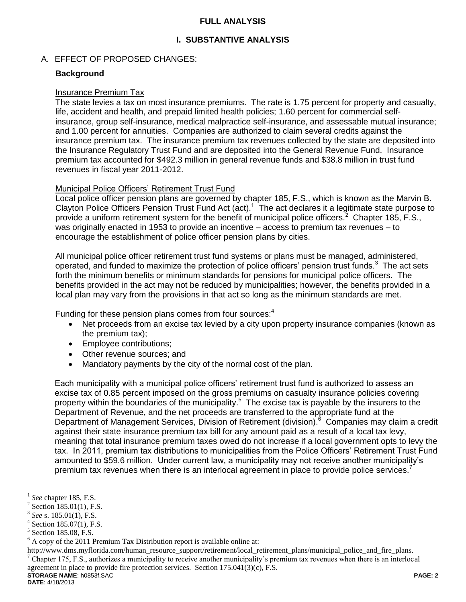#### **FULL ANALYSIS**

# **I. SUBSTANTIVE ANALYSIS**

#### A. EFFECT OF PROPOSED CHANGES:

#### **Background**

#### Insurance Premium Tax

The state levies a tax on most insurance premiums. The rate is 1.75 percent for property and casualty, life, accident and health, and prepaid limited health policies; 1.60 percent for commercial selfinsurance, group self-insurance, medical malpractice self-insurance, and assessable mutual insurance; and 1.00 percent for annuities. Companies are authorized to claim several credits against the insurance premium tax. The insurance premium tax revenues collected by the state are deposited into the Insurance Regulatory Trust Fund and are deposited into the General Revenue Fund. Insurance premium tax accounted for \$492.3 million in general revenue funds and \$38.8 million in trust fund revenues in fiscal year 2011-2012.

#### Municipal Police Officers' Retirement Trust Fund

Local police officer pension plans are governed by chapter 185, F.S., which is known as the Marvin B. Clayton Police Officers Pension Trust Fund Act (act). $1$  The act declares it a legitimate state purpose to provide a uniform retirement system for the benefit of municipal police officers.<sup>2</sup> Chapter 185, F.S., was originally enacted in 1953 to provide an incentive – access to premium tax revenues – to encourage the establishment of police officer pension plans by cities.

All municipal police officer retirement trust fund systems or plans must be managed, administered, operated, and funded to maximize the protection of police officers' pension trust funds.<sup>3</sup> The act sets forth the minimum benefits or minimum standards for pensions for municipal police officers. The benefits provided in the act may not be reduced by municipalities; however, the benefits provided in a local plan may vary from the provisions in that act so long as the minimum standards are met.

Funding for these pension plans comes from four sources:<sup>4</sup>

- Net proceeds from an excise tax levied by a city upon property insurance companies (known as the premium tax);
- Employee contributions;
- Other revenue sources; and
- Mandatory payments by the city of the normal cost of the plan.

Each municipality with a municipal police officers' retirement trust fund is authorized to assess an excise tax of 0.85 percent imposed on the gross premiums on casualty insurance policies covering property within the boundaries of the municipality.<sup>5</sup> The excise tax is payable by the insurers to the Department of Revenue, and the net proceeds are transferred to the appropriate fund at the Department of Management Services, Division of Retirement (division).<sup>6</sup> Companies may claim a credit against their state insurance premium tax bill for any amount paid as a result of a local tax levy, meaning that total insurance premium taxes owed do not increase if a local government opts to levy the tax. In 2011, premium tax distributions to municipalities from the Police Officers' Retirement Trust Fund amounted to \$59.6 million. Under current law, a municipality may not receive another municipality's premium tax revenues when there is an interlocal agreement in place to provide police services.<sup>7</sup>

 $\overline{a}$ 

http://www.dms.myflorida.com/human\_resource\_support/retirement/local\_retirement\_plans/municipal\_police\_and\_fire\_plans. <sup>7</sup> Chapter 175, F.S., authorizes a municipality to receive another municipality's premium tax revenues when there is an interlocal agreement in place to provide fire protection services. Section 175.041(3)(c), F.S.

<sup>1</sup> *See* chapter 185, F.S.

<sup>2</sup> Section 185.01(1), F.S.

<sup>3</sup> *See* s. 185.01(1), F.S.

 $4$  Section 185.07(1), F.S.

<sup>5</sup> Section 185.08, F.S.

 $6$  A copy of the 2011 Premium Tax Distribution report is available online at: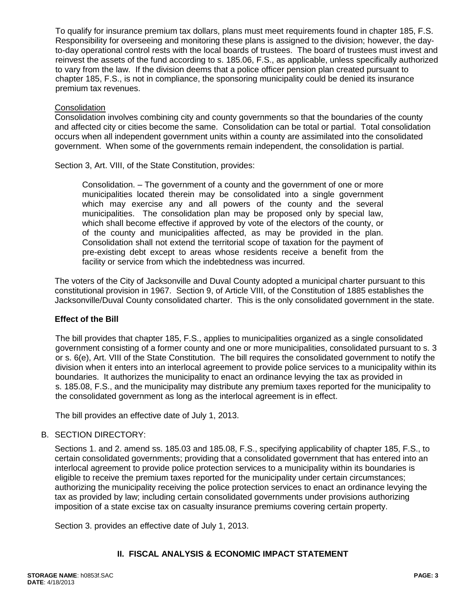To qualify for insurance premium tax dollars, plans must meet requirements found in chapter 185, F.S. Responsibility for overseeing and monitoring these plans is assigned to the division; however, the dayto-day operational control rests with the local boards of trustees. The board of trustees must invest and reinvest the assets of the fund according to s. 185.06, F.S., as applicable, unless specifically authorized to vary from the law. If the division deems that a police officer pension plan created pursuant to chapter 185, F.S., is not in compliance, the sponsoring municipality could be denied its insurance premium tax revenues.

#### **Consolidation**

Consolidation involves combining city and county governments so that the boundaries of the county and affected city or cities become the same. Consolidation can be total or partial. Total consolidation occurs when all independent government units within a county are assimilated into the consolidated government. When some of the governments remain independent, the consolidation is partial.

Section 3, Art. VIII, of the State Constitution, provides:

Consolidation. – The government of a county and the government of one or more municipalities located therein may be consolidated into a single government which may exercise any and all powers of the county and the several municipalities. The consolidation plan may be proposed only by special law, which shall become effective if approved by vote of the electors of the county, or of the county and municipalities affected, as may be provided in the plan. Consolidation shall not extend the territorial scope of taxation for the payment of pre-existing debt except to areas whose residents receive a benefit from the facility or service from which the indebtedness was incurred.

The voters of the City of Jacksonville and Duval County adopted a municipal charter pursuant to this constitutional provision in 1967. Section 9, of Article VIII, of the Constitution of 1885 establishes the Jacksonville/Duval County consolidated charter. This is the only consolidated government in the state.

## **Effect of the Bill**

The bill provides that chapter 185, F.S., applies to municipalities organized as a single consolidated government consisting of a former county and one or more municipalities, consolidated pursuant to s. 3 or s. 6(e), Art. VIII of the State Constitution. The bill requires the consolidated government to notify the division when it enters into an interlocal agreement to provide police services to a municipality within its boundaries. It authorizes the municipality to enact an ordinance levying the tax as provided in s. 185.08, F.S., and the municipality may distribute any premium taxes reported for the municipality to the consolidated government as long as the interlocal agreement is in effect.

The bill provides an effective date of July 1, 2013.

#### B. SECTION DIRECTORY:

Sections 1. and 2. amend ss. 185.03 and 185.08, F.S., specifying applicability of chapter 185, F.S., to certain consolidated governments; providing that a consolidated government that has entered into an interlocal agreement to provide police protection services to a municipality within its boundaries is eligible to receive the premium taxes reported for the municipality under certain circumstances; authorizing the municipality receiving the police protection services to enact an ordinance levying the tax as provided by law; including certain consolidated governments under provisions authorizing imposition of a state excise tax on casualty insurance premiums covering certain property.

Section 3. provides an effective date of July 1, 2013.

## **II. FISCAL ANALYSIS & ECONOMIC IMPACT STATEMENT**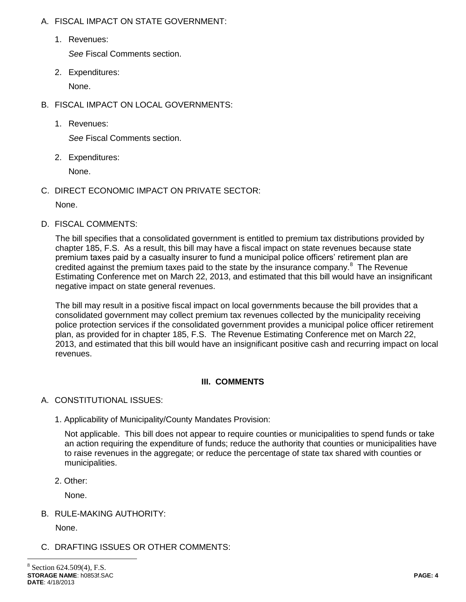- A. FISCAL IMPACT ON STATE GOVERNMENT:
	- 1. Revenues:

*See* Fiscal Comments section.

2. Expenditures:

None.

- B. FISCAL IMPACT ON LOCAL GOVERNMENTS:
	- 1. Revenues:

*See* Fiscal Comments section.

2. Expenditures:

None.

C. DIRECT ECONOMIC IMPACT ON PRIVATE SECTOR:

None.

D. FISCAL COMMENTS:

The bill specifies that a consolidated government is entitled to premium tax distributions provided by chapter 185, F.S. As a result, this bill may have a fiscal impact on state revenues because state premium taxes paid by a casualty insurer to fund a municipal police officers' retirement plan are credited against the premium taxes paid to the state by the insurance company. $8$  The Revenue Estimating Conference met on March 22, 2013, and estimated that this bill would have an insignificant negative impact on state general revenues.

The bill may result in a positive fiscal impact on local governments because the bill provides that a consolidated government may collect premium tax revenues collected by the municipality receiving police protection services if the consolidated government provides a municipal police officer retirement plan, as provided for in chapter 185, F.S. The Revenue Estimating Conference met on March 22, 2013, and estimated that this bill would have an insignificant positive cash and recurring impact on local revenues.

# **III. COMMENTS**

- A. CONSTITUTIONAL ISSUES:
	- 1. Applicability of Municipality/County Mandates Provision:

Not applicable. This bill does not appear to require counties or municipalities to spend funds or take an action requiring the expenditure of funds; reduce the authority that counties or municipalities have to raise revenues in the aggregate; or reduce the percentage of state tax shared with counties or municipalities.

2. Other:

None.

B. RULE-MAKING AUTHORITY:

None.

 $\overline{a}$ 

# C. DRAFTING ISSUES OR OTHER COMMENTS: